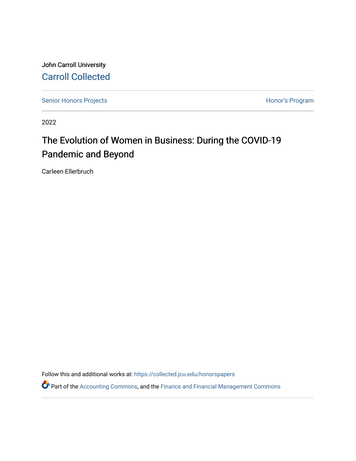John Carroll University [Carroll Collected](https://collected.jcu.edu/) 

[Senior Honors Projects](https://collected.jcu.edu/honorspapers) **Honor's Program** 

2022

# The Evolution of Women in Business: During the COVID-19 Pandemic and Beyond

Carleen Ellerbruch

Follow this and additional works at: [https://collected.jcu.edu/honorspapers](https://collected.jcu.edu/honorspapers?utm_source=collected.jcu.edu%2Fhonorspapers%2F146&utm_medium=PDF&utm_campaign=PDFCoverPages)

Part of the [Accounting Commons](https://network.bepress.com/hgg/discipline/625?utm_source=collected.jcu.edu%2Fhonorspapers%2F146&utm_medium=PDF&utm_campaign=PDFCoverPages), and the [Finance and Financial Management Commons](https://network.bepress.com/hgg/discipline/631?utm_source=collected.jcu.edu%2Fhonorspapers%2F146&utm_medium=PDF&utm_campaign=PDFCoverPages)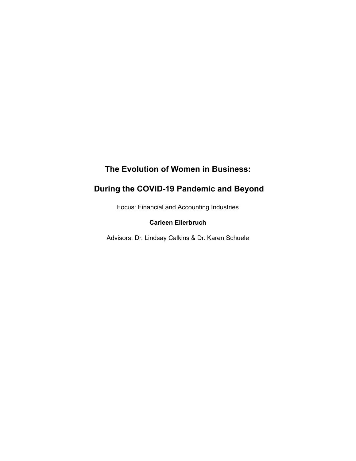## **The Evolution of Women in Business:**

## **During the COVID-19 Pandemic and Beyond**

Focus: Financial and Accounting Industries

## **Carleen Ellerbruch**

Advisors: Dr. Lindsay Calkins & Dr. Karen Schuele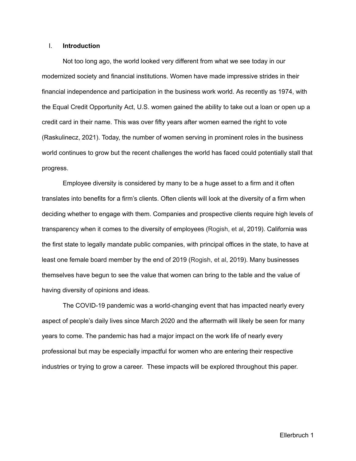#### I. **Introduction**

Not too long ago, the world looked very different from what we see today in our modernized society and financial institutions. Women have made impressive strides in their financial independence and participation in the business work world. As recently as 1974, with the Equal Credit Opportunity Act, U.S. women gained the ability to take out a loan or open up a credit card in their name. This was over fifty years after women earned the right to vote (Raskulinecz, 2021). Today, the number of women serving in prominent roles in the business world continues to grow but the recent challenges the world has faced could potentially stall that progress.

Employee diversity is considered by many to be a huge asset to a firm and it often translates into benefits for a firm's clients. Often clients will look at the diversity of a firm when deciding whether to engage with them. Companies and prospective clients require high levels of transparency when it comes to the diversity of employees (Rogish, et al, 2019). California was the first state to legally mandate public companies, with principal offices in the state, to have at least one female board member by the end of 2019 (Rogish, et al, 2019). Many businesses themselves have begun to see the value that women can bring to the table and the value of having diversity of opinions and ideas.

The COVID-19 pandemic was a world-changing event that has impacted nearly every aspect of people's daily lives since March 2020 and the aftermath will likely be seen for many years to come. The pandemic has had a major impact on the work life of nearly every professional but may be especially impactful for women who are entering their respective industries or trying to grow a career. These impacts will be explored throughout this paper.

Ellerbruch 1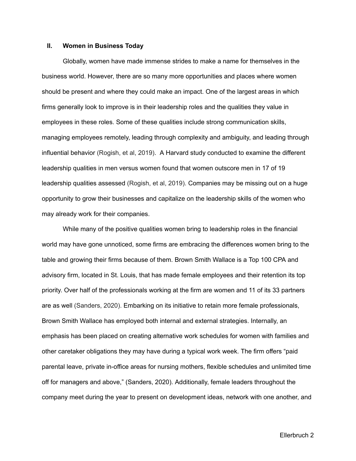#### **II. Women in Business Today**

Globally, women have made immense strides to make a name for themselves in the business world. However, there are so many more opportunities and places where women should be present and where they could make an impact. One of the largest areas in which firms generally look to improve is in their leadership roles and the qualities they value in employees in these roles. Some of these qualities include strong communication skills, managing employees remotely, leading through complexity and ambiguity, and leading through influential behavior (Rogish, et al, 2019). A Harvard study conducted to examine the different leadership qualities in men versus women found that women outscore men in 17 of 19 leadership qualities assessed (Rogish, et al, 2019). Companies may be missing out on a huge opportunity to grow their businesses and capitalize on the leadership skills of the women who may already work for their companies.

While many of the positive qualities women bring to leadership roles in the financial world may have gone unnoticed, some firms are embracing the differences women bring to the table and growing their firms because of them. Brown Smith Wallace is a Top 100 CPA and advisory firm, located in St. Louis, that has made female employees and their retention its top priority. Over half of the professionals working at the firm are women and 11 of its 33 partners are as well (Sanders, 2020). Embarking on its initiative to retain more female professionals, Brown Smith Wallace has employed both internal and external strategies. Internally, an emphasis has been placed on creating alternative work schedules for women with families and other caretaker obligations they may have during a typical work week. The firm offers "paid parental leave, private in-office areas for nursing mothers, flexible schedules and unlimited time off for managers and above," (Sanders, 2020). Additionally, female leaders throughout the company meet during the year to present on development ideas, network with one another, and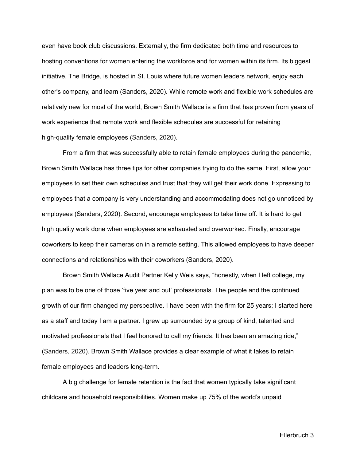even have book club discussions. Externally, the firm dedicated both time and resources to hosting conventions for women entering the workforce and for women within its firm. Its biggest initiative, The Bridge, is hosted in St. Louis where future women leaders network, enjoy each other's company, and learn (Sanders, 2020). While remote work and flexible work schedules are relatively new for most of the world, Brown Smith Wallace is a firm that has proven from years of work experience that remote work and flexible schedules are successful for retaining high-quality female employees (Sanders, 2020).

From a firm that was successfully able to retain female employees during the pandemic, Brown Smith Wallace has three tips for other companies trying to do the same. First, allow your employees to set their own schedules and trust that they will get their work done. Expressing to employees that a company is very understanding and accommodating does not go unnoticed by employees (Sanders, 2020). Second, encourage employees to take time off. It is hard to get high quality work done when employees are exhausted and overworked. Finally, encourage coworkers to keep their cameras on in a remote setting. This allowed employees to have deeper connections and relationships with their coworkers (Sanders, 2020).

Brown Smith Wallace Audit Partner Kelly Weis says, "honestly, when I left college, my plan was to be one of those 'five year and out' professionals. The people and the continued growth of our firm changed my perspective. I have been with the firm for 25 years; I started here as a staff and today I am a partner. I grew up surrounded by a group of kind, talented and motivated professionals that I feel honored to call my friends. It has been an amazing ride," (Sanders, 2020). Brown Smith Wallace provides a clear example of what it takes to retain female employees and leaders long-term.

A big challenge for female retention is the fact that women typically take significant childcare and household responsibilities. Women make up 75% of the world's unpaid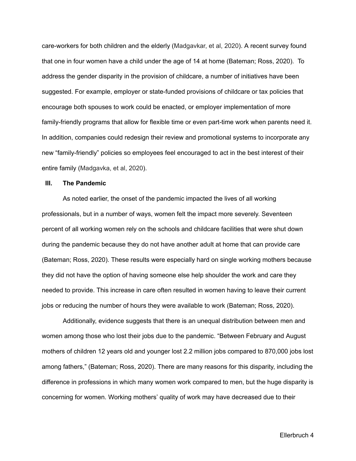care-workers for both children and the elderly (Madgavkar, et al, 2020). A recent survey found that one in four women have a child under the age of 14 at home (Bateman; Ross, 2020). To address the gender disparity in the provision of childcare, a number of initiatives have been suggested. For example, employer or state-funded provisions of childcare or tax policies that encourage both spouses to work could be enacted, or employer implementation of more family-friendly programs that allow for flexible time or even part-time work when parents need it. In addition, companies could redesign their review and promotional systems to incorporate any new "family-friendly" policies so employees feel encouraged to act in the best interest of their entire family (Madgavka, et al, 2020).

#### **III. The Pandemic**

As noted earlier, the onset of the pandemic impacted the lives of all working professionals, but in a number of ways, women felt the impact more severely. Seventeen percent of all working women rely on the schools and childcare facilities that were shut down during the pandemic because they do not have another adult at home that can provide care (Bateman; Ross, 2020). These results were especially hard on single working mothers because they did not have the option of having someone else help shoulder the work and care they needed to provide. This increase in care often resulted in women having to leave their current jobs or reducing the number of hours they were available to work (Bateman; Ross, 2020).

Additionally, evidence suggests that there is an unequal distribution between men and women among those who lost their jobs due to the pandemic. "Between February and August mothers of children 12 years old and younger lost 2.2 million jobs compared to 870,000 jobs lost among fathers," (Bateman; Ross, 2020). There are many reasons for this disparity, including the difference in professions in which many women work compared to men, but the huge disparity is concerning for women. Working mothers' quality of work may have decreased due to their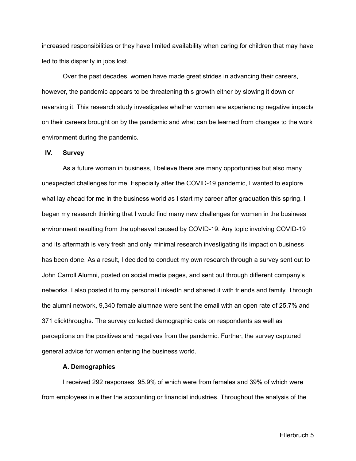increased responsibilities or they have limited availability when caring for children that may have led to this disparity in jobs lost.

Over the past decades, women have made great strides in advancing their careers, however, the pandemic appears to be threatening this growth either by slowing it down or reversing it. This research study investigates whether women are experiencing negative impacts on their careers brought on by the pandemic and what can be learned from changes to the work environment during the pandemic.

#### **IV. Survey**

As a future woman in business, I believe there are many opportunities but also many unexpected challenges for me. Especially after the COVID-19 pandemic, I wanted to explore what lay ahead for me in the business world as I start my career after graduation this spring. I began my research thinking that I would find many new challenges for women in the business environment resulting from the upheaval caused by COVID-19. Any topic involving COVID-19 and its aftermath is very fresh and only minimal research investigating its impact on business has been done. As a result, I decided to conduct my own research through a survey sent out to John Carroll Alumni, posted on social media pages, and sent out through different company's networks. I also posted it to my personal LinkedIn and shared it with friends and family. Through the alumni network, 9,340 female alumnae were sent the email with an open rate of 25.7% and 371 clickthroughs. The survey collected demographic data on respondents as well as perceptions on the positives and negatives from the pandemic. Further, the survey captured general advice for women entering the business world.

#### **A. Demographics**

I received 292 responses, 95.9% of which were from females and 39% of which were from employees in either the accounting or financial industries. Throughout the analysis of the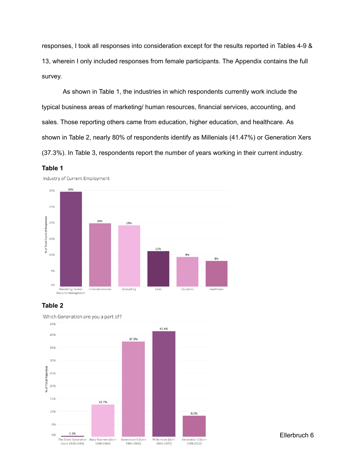responses, I took all responses into consideration except for the results reported in Tables 4-9 & 13, wherein I only included responses from female participants. The Appendix contains the full survey.

As shown in Table 1, the industries in which respondents currently work include the typical business areas of marketing/ human resources, financial services, accounting, and sales. Those reporting others came from education, higher education, and healthcare. As shown in Table 2, nearly 80% of respondents identify as Millenials (41.47%) or Generation Xers (37.3%). In Table 3, respondents report the number of years working in their current industry.





## **Table 2**



Which Generation are you a part of?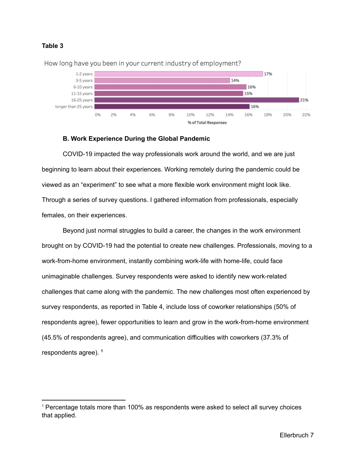



How long have you been in your current industry of employment?

## **B. Work Experience During the Global Pandemic**

COVID-19 impacted the way professionals work around the world, and we are just beginning to learn about their experiences. Working remotely during the pandemic could be viewed as an "experiment" to see what a more flexible work environment might look like. Through a series of survey questions. I gathered information from professionals, especially females, on their experiences.

Beyond just normal struggles to build a career, the changes in the work environment brought on by COVID-19 had the potential to create new challenges. Professionals, moving to a work-from-home environment, instantly combining work-life with home-life, could face unimaginable challenges. Survey respondents were asked to identify new work-related challenges that came along with the pandemic. The new challenges most often experienced by survey respondents, as reported in Table 4, include loss of coworker relationships (50% of respondents agree), fewer opportunities to learn and grow in the work-from-home environment (45.5% of respondents agree), and communication difficulties with coworkers (37.3% of respondents agree). **1**

<sup>1</sup> Percentage totals more than 100% as respondents were asked to select all survey choices that applied.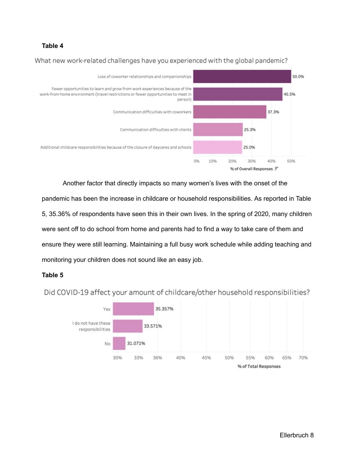#### **Table 4**

## What new work-related challenges have you experienced with the global pandemic?



Another factor that directly impacts so many women's lives with the onset of the

pandemic has been the increase in childcare or household responsibilities. As reported in Table 5, 35.36% of respondents have seen this in their own lives. In the spring of 2020, many children were sent off to do school from home and parents had to find a way to take care of them and ensure they were still learning. Maintaining a full busy work schedule while adding teaching and monitoring your children does not sound like an easy job.

#### **Table 5**



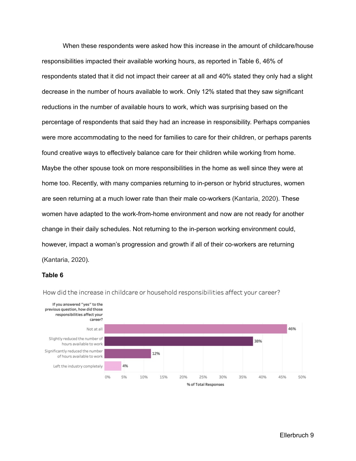When these respondents were asked how this increase in the amount of childcare/house responsibilities impacted their available working hours, as reported in Table 6, 46% of respondents stated that it did not impact their career at all and 40% stated they only had a slight decrease in the number of hours available to work. Only 12% stated that they saw significant reductions in the number of available hours to work, which was surprising based on the percentage of respondents that said they had an increase in responsibility. Perhaps companies were more accommodating to the need for families to care for their children, or perhaps parents found creative ways to effectively balance care for their children while working from home. Maybe the other spouse took on more responsibilities in the home as well since they were at home too. Recently, with many companies returning to in-person or hybrid structures, women are seen returning at a much lower rate than their male co-workers (Kantaria, 2020). These women have adapted to the work-from-home environment and now are not ready for another change in their daily schedules. Not returning to the in-person working environment could, however, impact a woman's progression and growth if all of their co-workers are returning (Kantaria, 2020).

#### **Table 6**



How did the increase in childcare or household responsibilities affect your career?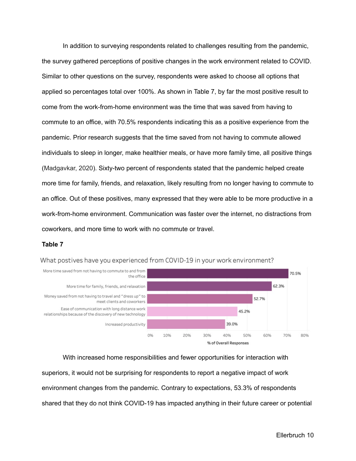In addition to surveying respondents related to challenges resulting from the pandemic, the survey gathered perceptions of positive changes in the work environment related to COVID. Similar to other questions on the survey, respondents were asked to choose all options that applied so percentages total over 100%. As shown in Table 7, by far the most positive result to come from the work-from-home environment was the time that was saved from having to commute to an office, with 70.5% respondents indicating this as a positive experience from the pandemic. Prior research suggests that the time saved from not having to commute allowed individuals to sleep in longer, make healthier meals, or have more family time, all positive things (Madgavkar, 2020). Sixty-two percent of respondents stated that the pandemic helped create more time for family, friends, and relaxation, likely resulting from no longer having to commute to an office. Out of these positives, many expressed that they were able to be more productive in a work-from-home environment. Communication was faster over the internet, no distractions from coworkers, and more time to work with no commute or travel.

#### **Table 7**

What postives have you experienced from COVID-19 in your work environment?



With increased home responsibilities and fewer opportunities for interaction with superiors, it would not be surprising for respondents to report a negative impact of work environment changes from the pandemic. Contrary to expectations, 53.3% of respondents shared that they do not think COVID-19 has impacted anything in their future career or potential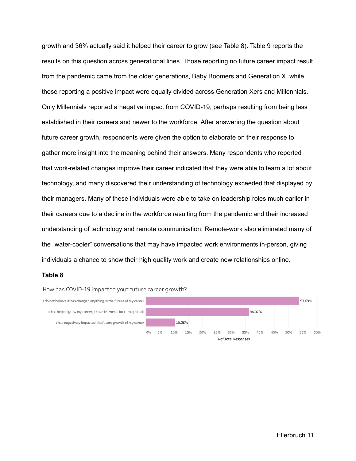growth and 36% actually said it helped their career to grow (see Table 8). Table 9 reports the results on this question across generational lines. Those reporting no future career impact result from the pandemic came from the older generations, Baby Boomers and Generation X, while those reporting a positive impact were equally divided across Generation Xers and Millennials. Only Millennials reported a negative impact from COVID-19, perhaps resulting from being less established in their careers and newer to the workforce. After answering the question about future career growth, respondents were given the option to elaborate on their response to gather more insight into the meaning behind their answers. Many respondents who reported that work-related changes improve their career indicated that they were able to learn a lot about technology, and many discovered their understanding of technology exceeded that displayed by their managers. Many of these individuals were able to take on leadership roles much earlier in their careers due to a decline in the workforce resulting from the pandemic and their increased understanding of technology and remote communication. Remote-work also eliminated many of the "water-cooler" conversations that may have impacted work environments in-person, giving individuals a chance to show their high quality work and create new relationships online.

#### **Table 8**

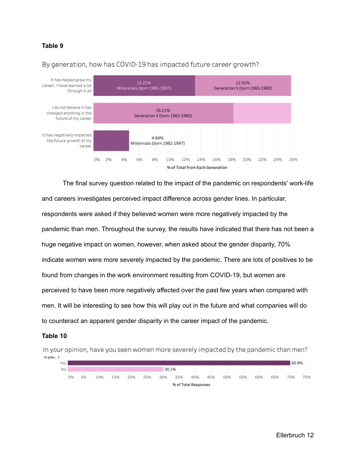#### **Table 9**



By generation, how has COVID-19 has impacted future career growth?

The final survey question related to the impact of the pandemic on respondents' work-life and careers investigates perceived impact difference across gender lines. In particular, respondents were asked if they believed women were more negatively impacted by the pandemic than men. Throughout the survey, the results have indicated that there has not been a huge negative impact on women, however, when asked about the gender disparity, 70% indicate women were more severely impacted by the pandemic. There are lots of positives to be found from changes in the work environment resulting from COVID-19, but women are perceived to have been more negatively affected over the past few years when compared with men. It will be interesting to see how this will play out in the future and what companies will do to counteract an apparent gender disparity in the career impact of the pandemic.

#### **Table 10**

In your opinion, have you seen women more severely impacted by the pandemic than men? In you.. $=$ 

| Yes |    |    |     |     |     |     |       |     |                      |     |     |     |     |     | 69.9% |     |
|-----|----|----|-----|-----|-----|-----|-------|-----|----------------------|-----|-----|-----|-----|-----|-------|-----|
| No  |    |    |     |     |     |     | 30.1% |     |                      |     |     |     |     |     |       |     |
|     | 0% | 5% | 10% | 15% | 20% | 25% | 30%   | 35% | 40%                  | 45% | 50% | 55% | 60% | 65% | 70%   | 75% |
|     |    |    |     |     |     |     |       |     | % of Total Responses |     |     |     |     |     |       |     |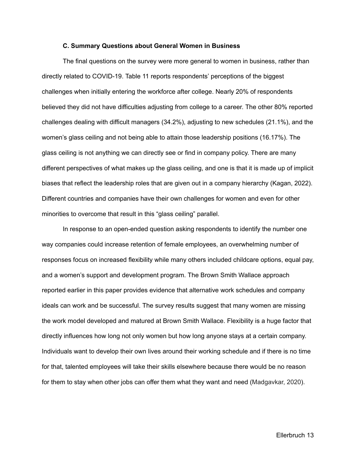#### **C. Summary Questions about General Women in Business**

The final questions on the survey were more general to women in business, rather than directly related to COVID-19. Table 11 reports respondents' perceptions of the biggest challenges when initially entering the workforce after college. Nearly 20% of respondents believed they did not have difficulties adjusting from college to a career. The other 80% reported challenges dealing with difficult managers (34.2%), adjusting to new schedules (21.1%), and the women's glass ceiling and not being able to attain those leadership positions (16.17%). The glass ceiling is not anything we can directly see or find in company policy. There are many different perspectives of what makes up the glass ceiling, and one is that it is made up of implicit biases that reflect the leadership roles that are given out in a company hierarchy (Kagan, 2022). Different countries and companies have their own challenges for women and even for other minorities to overcome that result in this "glass ceiling" parallel.

In response to an open-ended question asking respondents to identify the number one way companies could increase retention of female employees, an overwhelming number of responses focus on increased flexibility while many others included childcare options, equal pay, and a women's support and development program. The Brown Smith Wallace approach reported earlier in this paper provides evidence that alternative work schedules and company ideals can work and be successful. The survey results suggest that many women are missing the work model developed and matured at Brown Smith Wallace. Flexibility is a huge factor that directly influences how long not only women but how long anyone stays at a certain company. Individuals want to develop their own lives around their working schedule and if there is no time for that, talented employees will take their skills elsewhere because there would be no reason for them to stay when other jobs can offer them what they want and need (Madgavkar, 2020).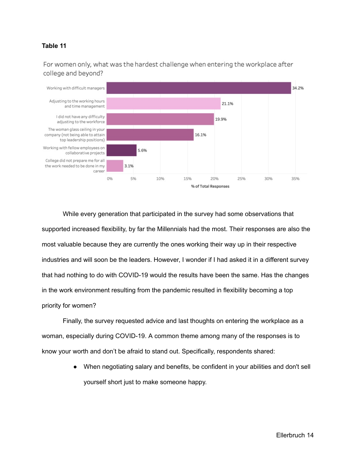## **Table 11**

For women only, what was the hardest challenge when entering the workplace after college and beyond?



While every generation that participated in the survey had some observations that supported increased flexibility, by far the Millennials had the most. Their responses are also the most valuable because they are currently the ones working their way up in their respective industries and will soon be the leaders. However, I wonder if I had asked it in a different survey that had nothing to do with COVID-19 would the results have been the same. Has the changes in the work environment resulting from the pandemic resulted in flexibility becoming a top priority for women?

Finally, the survey requested advice and last thoughts on entering the workplace as a woman, especially during COVID-19. A common theme among many of the responses is to know your worth and don't be afraid to stand out. Specifically, respondents shared:

> When negotiating salary and benefits, be confident in your abilities and don't sell yourself short just to make someone happy.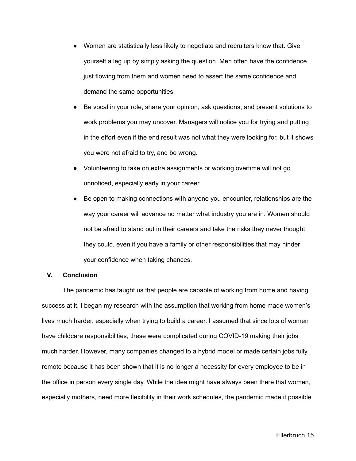- Women are statistically less likely to negotiate and recruiters know that. Give yourself a leg up by simply asking the question. Men often have the confidence just flowing from them and women need to assert the same confidence and demand the same opportunities.
- Be vocal in your role, share your opinion, ask questions, and present solutions to work problems you may uncover. Managers will notice you for trying and putting in the effort even if the end result was not what they were looking for, but it shows you were not afraid to try, and be wrong.
- Volunteering to take on extra assignments or working overtime will not go unnoticed, especially early in your career.
- Be open to making connections with anyone you encounter, relationships are the way your career will advance no matter what industry you are in. Women should not be afraid to stand out in their careers and take the risks they never thought they could, even if you have a family or other responsibilities that may hinder your confidence when taking chances.

#### **V. Conclusion**

The pandemic has taught us that people are capable of working from home and having success at it. I began my research with the assumption that working from home made women's lives much harder, especially when trying to build a career. I assumed that since lots of women have childcare responsibilities, these were complicated during COVID-19 making their jobs much harder. However, many companies changed to a hybrid model or made certain jobs fully remote because it has been shown that it is no longer a necessity for every employee to be in the office in person every single day. While the idea might have always been there that women, especially mothers, need more flexibility in their work schedules, the pandemic made it possible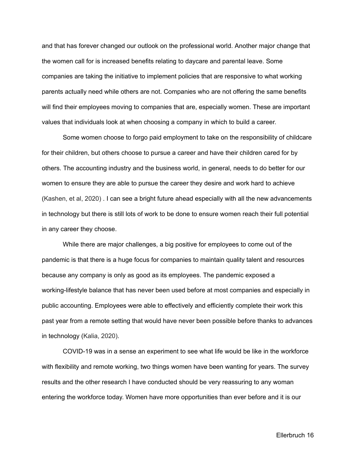and that has forever changed our outlook on the professional world. Another major change that the women call for is increased benefits relating to daycare and parental leave. Some companies are taking the initiative to implement policies that are responsive to what working parents actually need while others are not. Companies who are not offering the same benefits will find their employees moving to companies that are, especially women. These are important values that individuals look at when choosing a company in which to build a career.

Some women choose to forgo paid employment to take on the responsibility of childcare for their children, but others choose to pursue a career and have their children cared for by others. The accounting industry and the business world, in general, needs to do better for our women to ensure they are able to pursue the career they desire and work hard to achieve (Kashen, et al, 2020) . I can see a bright future ahead especially with all the new advancements in technology but there is still lots of work to be done to ensure women reach their full potential in any career they choose.

While there are major challenges, a big positive for employees to come out of the pandemic is that there is a huge focus for companies to maintain quality talent and resources because any company is only as good as its employees. The pandemic exposed a working-lifestyle balance that has never been used before at most companies and especially in public accounting. Employees were able to effectively and efficiently complete their work this past year from a remote setting that would have never been possible before thanks to advances in technology (Kalia, 2020).

COVID-19 was in a sense an experiment to see what life would be like in the workforce with flexibility and remote working, two things women have been wanting for years. The survey results and the other research I have conducted should be very reassuring to any woman entering the workforce today. Women have more opportunities than ever before and it is our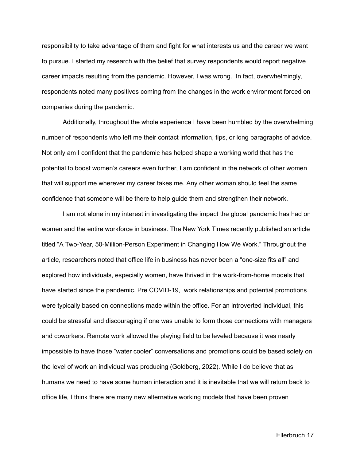responsibility to take advantage of them and fight for what interests us and the career we want to pursue. I started my research with the belief that survey respondents would report negative career impacts resulting from the pandemic. However, I was wrong. In fact, overwhelmingly, respondents noted many positives coming from the changes in the work environment forced on companies during the pandemic.

Additionally, throughout the whole experience I have been humbled by the overwhelming number of respondents who left me their contact information, tips, or long paragraphs of advice. Not only am I confident that the pandemic has helped shape a working world that has the potential to boost women's careers even further, I am confident in the network of other women that will support me wherever my career takes me. Any other woman should feel the same confidence that someone will be there to help guide them and strengthen their network.

I am not alone in my interest in investigating the impact the global pandemic has had on women and the entire workforce in business. The New York Times recently published an article titled "A Two-Year, 50-Million-Person Experiment in Changing How We Work." Throughout the article, researchers noted that office life in business has never been a "one-size fits all" and explored how individuals, especially women, have thrived in the work-from-home models that have started since the pandemic. Pre COVID-19, work relationships and potential promotions were typically based on connections made within the office. For an introverted individual, this could be stressful and discouraging if one was unable to form those connections with managers and coworkers. Remote work allowed the playing field to be leveled because it was nearly impossible to have those "water cooler" conversations and promotions could be based solely on the level of work an individual was producing (Goldberg, 2022). While I do believe that as humans we need to have some human interaction and it is inevitable that we will return back to office life, I think there are many new alternative working models that have been proven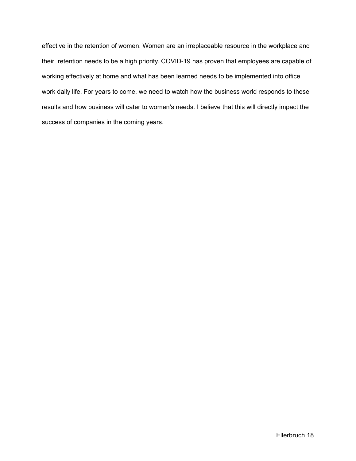effective in the retention of women. Women are an irreplaceable resource in the workplace and their retention needs to be a high priority. COVID-19 has proven that employees are capable of working effectively at home and what has been learned needs to be implemented into office work daily life. For years to come, we need to watch how the business world responds to these results and how business will cater to women's needs. I believe that this will directly impact the success of companies in the coming years.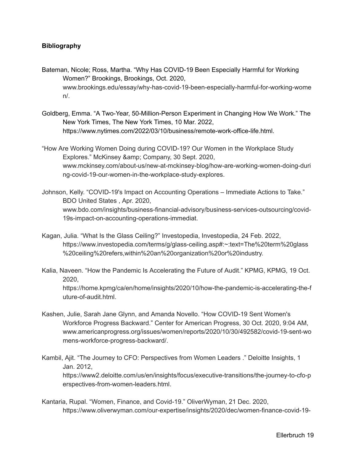## **Bibliography**

- Bateman, Nicole; Ross, Martha. "Why Has COVID-19 Been Especially Harmful for Working Women?" Brookings, Brookings, Oct. 2020, [www.brookings.edu/essay/why-has-covid-19-been-especially-harmful-for-working-wome](http://www.brookings.edu/essay/why-has-covid-19-been-especially-harmful-for-working-women/) [n/](http://www.brookings.edu/essay/why-has-covid-19-been-especially-harmful-for-working-women/).
- Goldberg, Emma. "A Two-Year, 50-Million-Person Experiment in Changing How We Work." The New York Times, The New York Times, 10 Mar. 2022, https://www.nytimes.com/2022/03/10/business/remote-work-office-life.html.
- "How Are Working Women Doing during COVID-19? Our Women in the Workplace Study Explores." McKinsey & amp; Company, 30 Sept. 2020, www.mckinsey.com/about-us/new-at-mckinsey-blog/how-are-working-women-doing-duri ng-covid-19-our-women-in-the-workplace-study-explores.
- Johnson, Kelly. "COVID-19's Impact on Accounting Operations Immediate Actions to Take." BDO United States , Apr. 2020, www.bdo.com/insights/business-financial-advisory/business-services-outsourcing/covid-19s-impact-on-accounting-operations-immediat.
- Kagan, Julia. "What Is the Glass Ceiling?" Investopedia, Investopedia, 24 Feb. 2022, <https://www.investopedia.com/terms/g/glass-ceiling.asp#:~:text=The%20term%20glass> %20ceiling%20refers,within%20an%20organization%20or%20industry.
- Kalia, Naveen. "How the Pandemic Is Accelerating the Future of Audit." KPMG, KPMG, 19 Oct. 2020,

https://home.kpmg/ca/en/home/insights/2020/10/how-the-pandemic-is-accelerating-the-f uture-of-audit.html.

- Kashen, Julie, Sarah Jane Glynn, and Amanda Novello. "How COVID-19 Sent Women's Workforce Progress Backward." Center for American Progress, 30 Oct. 2020, 9:04 AM, www.americanprogress.org/issues/women/reports/2020/10/30/492582/covid-19-sent-wo mens-workforce-progress-backward/.
- Kambil, Ajit. "The Journey to CFO: Perspectives from Women Leaders ." Deloitte Insights, 1 Jan. 2012, https://www2.deloitte.com/us/en/insights/focus/executive-transitions/the-journey-to-cfo-p erspectives-from-women-leaders.html.
- Kantaria, Rupal. "Women, Finance, and Covid-19." OliverWyman, 21 Dec. 2020, <https://www.oliverwyman.com/our-expertise/insights/2020/dec/women-finance-covid-19->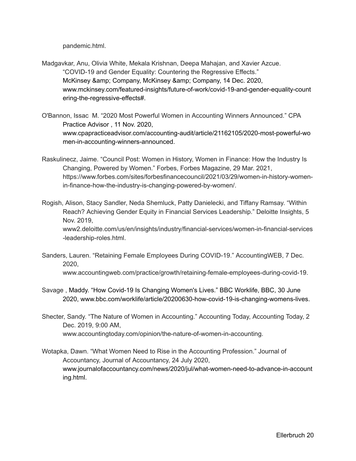pandemic.html.

- Madgavkar, Anu, Olivia White, Mekala Krishnan, Deepa Mahajan, and Xavier Azcue. "COVID-19 and Gender Equality: Countering the Regressive Effects." McKinsey & amp; Company, McKinsey & amp; Company, 14 Dec. 2020, [www.mckinsey.com/featured-insights/future-of-work/covid-19-and-gender-equality-count](http://www.mckinsey.com/featured-insights/future-of-work/covid-19-and-gender-equality-countering-the-regressive-effects) [ering-the-regressive-effects#.](http://www.mckinsey.com/featured-insights/future-of-work/covid-19-and-gender-equality-countering-the-regressive-effects)
- O'Bannon, Issac M. "2020 Most Powerful Women in Accounting Winners Announced." CPA Practice Advisor , 11 Nov. 2020, [www.cpapracticeadvisor.com/accounting-audit/article/21162105/2020-most-powerful-wo](http://www.cpapracticeadvisor.com/accounting-audit/article/21162105/2020-most-powerful-women-in-accounting-winners-announced) [men-in-accounting-winners-announced](http://www.cpapracticeadvisor.com/accounting-audit/article/21162105/2020-most-powerful-women-in-accounting-winners-announced).
- Raskulinecz, Jaime. "Council Post: Women in History, Women in Finance: How the Industry Is Changing, Powered by Women." Forbes, Forbes Magazine, 29 Mar. 2021, https://www.forbes.com/sites/forbesfinancecouncil/2021/03/29/women-in-history-womenin-finance-how-the-industry-is-changing-powered-by-women/.
- Rogish, Alison, Stacy Sandler, Neda Shemluck, Patty Danielecki, and Tiffany Ramsay. "Within Reach? Achieving Gender Equity in Financial Services Leadership." Deloitte Insights, 5 Nov. 2019, www2.deloitte.com/us/en/insights/industry/financial-services/women-in-financial-services -leadership-roles.html.
- Sanders, Lauren. "Retaining Female Employees During COVID-19." AccountingWEB, 7 Dec. 2020,

www.accountingweb.com/practice/growth/retaining-female-employees-during-covid-19.

- Savage , Maddy. "How Covid-19 Is Changing Women's Lives." BBC Worklife, BBC, 30 June 2020, [www.bbc.com/worklife/article/20200630-how-covid-19-is-changing-womens-lives](http://www.bbc.com/worklife/article/20200630-how-covid-19-is-changing-womens-lives).
- Shecter, Sandy. "The Nature of Women in Accounting." Accounting Today, Accounting Today, 2 Dec. 2019, 9:00 AM, www.accountingtoday.com/opinion/the-nature-of-women-in-accounting.
- Wotapka, Dawn. "What Women Need to Rise in the Accounting Profession." Journal of Accountancy, Journal of Accountancy, 24 July 2020, [www.journalofaccountancy.com/news/2020/jul/what-women-need-to-advance-in-account](http://www.journalofaccountancy.com/news/2020/jul/what-women-need-to-advance-in-accounting.html) [ing.html](http://www.journalofaccountancy.com/news/2020/jul/what-women-need-to-advance-in-accounting.html).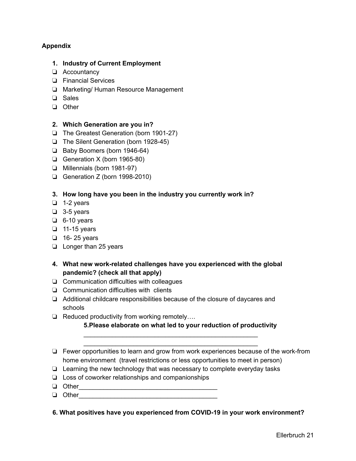## **Appendix**

### **1. Industry of Current Employment**

- ❏ Accountancy
- ❏ Financial Services
- ❏ Marketing/ Human Resource Management
- ❏ Sales
- ❏ Other

## **2. Which Generation are you in?**

- ❏ The Greatest Generation (born 1901-27)
- ❏ The Silent Generation (born 1928-45)
- ❏ Baby Boomers (born 1946-64)
- ❏ Generation X (born 1965-80)
- ❏ Millennials (born 1981-97)
- ❏ Generation Z (born 1998-2010)

## **3. How long have you been in the industry you currently work in?**

- ❏ 1-2 years
- ❏ 3-5 years
- ❏ 6-10 years
- ❏ 11-15 years
- ❏ 16- 25 years
- ❏ Longer than 25 years
- **4. What new work-related challenges have you experienced with the global pandemic? (check all that apply)**
- ❏ Communication difficulties with colleagues
- ❏ Communication difficulties with clients
- ❏ Additional childcare responsibilities because of the closure of daycares and schools
- ❏ Reduced productivity from working remotely….

## **5.Please elaborate on what led to your reduction of productivity**

\_\_\_\_\_\_\_\_\_\_\_\_\_\_\_\_\_\_\_\_\_\_\_\_\_\_\_\_\_\_\_\_\_\_\_\_\_\_\_\_\_\_\_\_\_\_\_\_\_ \_\_\_\_\_\_\_\_\_\_\_\_\_\_\_\_\_\_\_\_\_\_\_\_\_\_\_\_\_\_\_\_\_\_\_\_\_\_\_\_\_\_\_\_\_\_\_\_\_

- ❏ Fewer opportunities to learn and grow from work experiences because of the work-from home environment (travel restrictions or less opportunities to meet in person)
- ❏ Learning the new technology that was necessary to complete everyday tasks
- ❏ Loss of coworker relationships and companionships
- ❏ Other\_\_\_\_\_\_\_\_\_\_\_\_\_\_\_\_\_\_\_\_\_\_\_\_\_\_\_\_\_\_\_\_\_\_\_\_\_\_\_
- ❏ Other\_\_\_\_\_\_\_\_\_\_\_\_\_\_\_\_\_\_\_\_\_\_\_\_\_\_\_\_\_\_\_\_\_\_\_\_\_\_\_
- **6. What positives have you experienced from COVID-19 in your work environment?**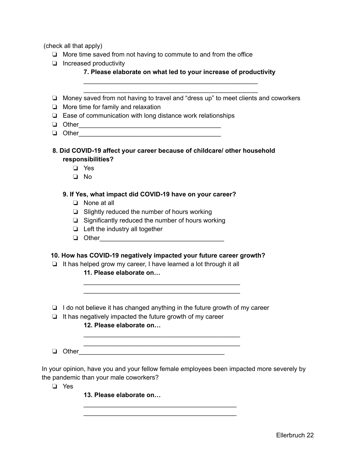(check all that apply)

- ❏ More time saved from not having to commute to and from the office
- ❏ Increased productivity

| 7. Please elaborate on what led to your increase of productivity |  |
|------------------------------------------------------------------|--|
|------------------------------------------------------------------|--|

❏ Money saved from not having to travel and "dress up" to meet clients and coworkers

\_\_\_\_\_\_\_\_\_\_\_\_\_\_\_\_\_\_\_\_\_\_\_\_\_\_\_\_\_\_\_\_\_\_\_\_\_\_\_\_\_\_\_\_\_\_\_\_\_ \_\_\_\_\_\_\_\_\_\_\_\_\_\_\_\_\_\_\_\_\_\_\_\_\_\_\_\_\_\_\_\_\_\_\_\_\_\_\_\_\_\_\_\_\_\_\_\_\_

- ❏ More time for family and relaxation
- ❏ Ease of communication with long distance work relationships
- ❏ Other\_\_\_\_\_\_\_\_\_\_\_\_\_\_\_\_\_\_\_\_\_\_\_\_\_\_\_\_\_\_\_\_\_\_\_\_\_\_\_\_
- ❏ Other\_\_\_\_\_\_\_\_\_\_\_\_\_\_\_\_\_\_\_\_\_\_\_\_\_\_\_\_\_\_\_\_\_\_\_\_\_\_\_\_
- **8. Did COVID-19 affect your career because of childcare/ other household responsibilities?**
	- ❏ Yes
	- ❏ No
	- **9. If Yes, what impact did COVID-19 have on your career?**
		- ❏ None at all
		- ❏ Slightly reduced the number of hours working
		- ❏ Significantly reduced the number of hours working
		- ❏ Left the industry all together
		- $\Box$  Other

#### **10. How has COVID-19 negatively impacted your future career growth?**

- ❏ It has helped grow my career, I have learned a lot through it all
	- **11. Please elaborate on…**
- ❏ I do not believe it has changed anything in the future growth of my career

\_\_\_\_\_\_\_\_\_\_\_\_\_\_\_\_\_\_\_\_\_\_\_\_\_\_\_\_\_\_\_\_\_\_\_\_\_\_\_\_\_\_\_\_ \_\_\_\_\_\_\_\_\_\_\_\_\_\_\_\_\_\_\_\_\_\_\_\_\_\_\_\_\_\_\_\_\_\_\_\_\_\_\_\_\_\_\_\_

\_\_\_\_\_\_\_\_\_\_\_\_\_\_\_\_\_\_\_\_\_\_\_\_\_\_\_\_\_\_\_\_\_\_\_\_\_\_\_\_\_\_\_ \_\_\_\_\_\_\_\_\_\_\_\_\_\_\_\_\_\_\_\_\_\_\_\_\_\_\_\_\_\_\_\_\_\_\_\_\_\_\_\_\_\_\_

\_\_\_\_\_\_\_\_\_\_\_\_\_\_\_\_\_\_\_\_\_\_\_\_\_\_\_\_\_\_\_\_\_\_\_\_\_\_\_\_\_\_\_\_ \_\_\_\_\_\_\_\_\_\_\_\_\_\_\_\_\_\_\_\_\_\_\_\_\_\_\_\_\_\_\_\_\_\_\_\_\_\_\_\_\_\_\_\_

❏ It has negatively impacted the future growth of my career

## **12. Please elaborate on…**

❏ Other\_\_\_\_\_\_\_\_\_\_\_\_\_\_\_\_\_\_\_\_\_\_\_\_\_\_\_\_\_\_\_\_\_\_\_\_\_\_\_\_\_

In your opinion, have you and your fellow female employees been impacted more severely by the pandemic than your male coworkers?

❏ Yes

**13. Please elaborate on…**